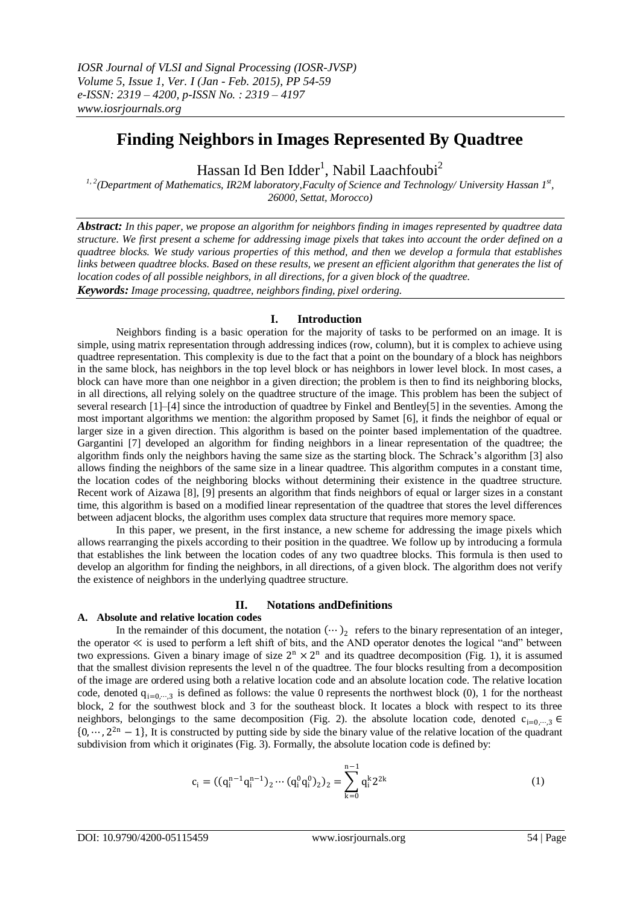# **Finding Neighbors in Images Represented By Quadtree**

Hassan Id Ben Idder $^{\rm l}$ , Nabil Laachfoubi $^{\rm 2}$ 

*1, 2(Department of Mathematics, IR2M laboratory,Faculty of Science and Technology/ University Hassan 1st , 26000, Settat, Morocco)*

*Abstract: In this paper, we propose an algorithm for neighbors finding in images represented by quadtree data structure. We first present a scheme for addressing image pixels that takes into account the order defined on a quadtree blocks. We study various properties of this method, and then we develop a formula that establishes links between quadtree blocks. Based on these results, we present an efficient algorithm that generates the list of location codes of all possible neighbors, in all directions, for a given block of the quadtree.*

*Keywords: Image processing, quadtree, neighbors finding, pixel ordering.*

### **I. Introduction**

Neighbors finding is a basic operation for the majority of tasks to be performed on an image. It is simple, using matrix representation through addressing indices (row, column), but it is complex to achieve using quadtree representation. This complexity is due to the fact that a point on the boundary of a block has neighbors in the same block, has neighbors in the top level block or has neighbors in lower level block. In most cases, a block can have more than one neighbor in a given direction; the problem is then to find its neighboring blocks, in all directions, all relying solely on the quadtree structure of the image. This problem has been the subject of several research [1]–[4] since the introduction of quadtree by Finkel and Bentley[5] in the seventies. Among the most important algorithms we mention: the algorithm proposed by Samet [6], it finds the neighbor of equal or larger size in a given direction. This algorithm is based on the pointer based implementation of the quadtree. Gargantini [7] developed an algorithm for finding neighbors in a linear representation of the quadtree; the algorithm finds only the neighbors having the same size as the starting block. The Schrack's algorithm [3] also allows finding the neighbors of the same size in a linear quadtree. This algorithm computes in a constant time, the location codes of the neighboring blocks without determining their existence in the quadtree structure. Recent work of Aizawa [8], [9] presents an algorithm that finds neighbors of equal or larger sizes in a constant time, this algorithm is based on a modified linear representation of the quadtree that stores the level differences between adjacent blocks, the algorithm uses complex data structure that requires more memory space.

In this paper, we present, in the first instance, a new scheme for addressing the image pixels which allows rearranging the pixels according to their position in the quadtree. We follow up by introducing a formula that establishes the link between the location codes of any two quadtree blocks. This formula is then used to develop an algorithm for finding the neighbors, in all directions, of a given block. The algorithm does not verify the existence of neighbors in the underlying quadtree structure.

# **II. Notations andDefinitions**

### **A. Absolute and relative location codes**

In the remainder of this document, the notation  $(\cdots)_2$  refers to the binary representation of an integer, the operator ≪ is used to perform a left shift of bits, and the AND operator denotes the logical "and" between two expressions. Given a binary image of size  $2^n \times 2^n$  and its quadtree decomposition (Fig. 1), it is assumed that the smallest division represents the level n of the quadtree. The four blocks resulting from a decomposition of the image are ordered using both a relative location code and an absolute location code. The relative location code, denoted  $q_{i=0,\dots,3}$  is defined as follows: the value 0 represents the northwest block (0), 1 for the northeast block, 2 for the southwest block and 3 for the southeast block. It locates a block with respect to its three neighbors, belongings to the same decomposition (Fig. 2). the absolute location code, denoted  $c_{i=0,\dots,3}$  ∈  $\{0, \dots, 2^{2n} - 1\}$ , It is constructed by putting side by side the binary value of the relative location of the quadrant subdivision from which it originates (Fig. 3). Formally, the absolute location code is defined by:

$$
c_i = ((q_i^{n-1}q_i^{n-1})_2 \cdots (q_i^0q_i^0)_2)_2 = \sum_{k=0}^{n-1} q_i^k 2^{2k}
$$
 (1)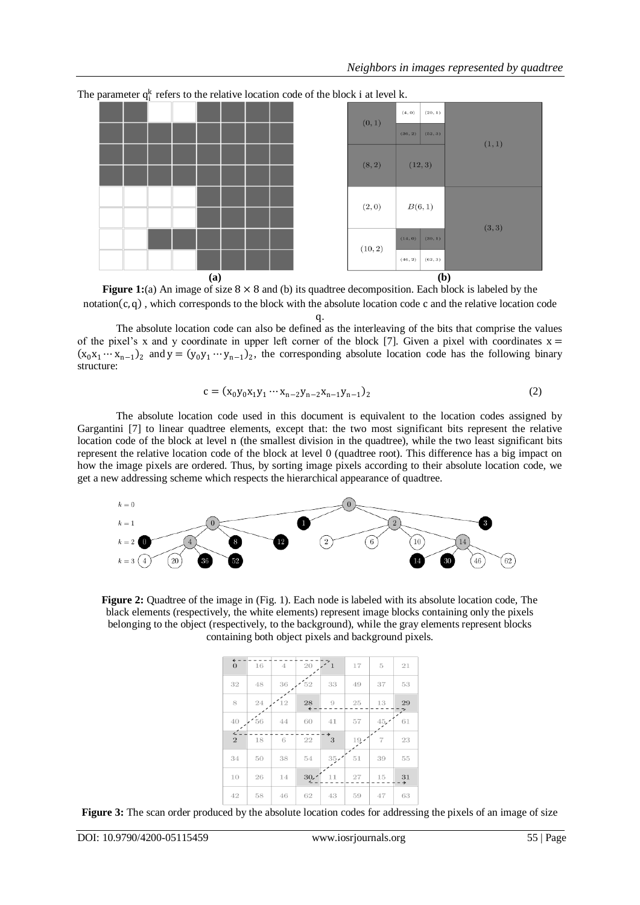

The parameter  $q_i^k$  refers to the relative location code of the block i at level k.

**Figure 1:**(a) An image of size  $8 \times 8$  and (b) its quadtree decomposition. Each block is labeled by the notation  $(c, a)$ , which corresponds to the block with the absolute location code c and the relative location code

 $\mathfrak{a}$ .

The absolute location code can also be defined as the interleaving of the bits that comprise the values of the pixel's x and y coordinate in upper left corner of the block [7]. Given a pixel with coordinates  $x =$  $(x_0x_1 \cdots x_{n-1})_2$  and  $y = (y_0y_1 \cdots y_{n-1})_2$ , the corresponding absolute location code has the following binary structure:

$$
c = (x_0y_0x_1y_1 \cdots x_{n-2}y_{n-2}x_{n-1}y_{n-1})_2
$$
 (2)

The absolute location code used in this document is equivalent to the location codes assigned by Gargantini [7] to linear quadtree elements, except that: the two most significant bits represent the relative location code of the block at level n (the smallest division in the quadtree), while the two least significant bits represent the relative location code of the block at level 0 (quadtree root). This difference has a big impact on how the image pixels are ordered. Thus, by sorting image pixels according to their absolute location code, we get a new addressing scheme which respects the hierarchical appearance of quadtree.



**Figure 2:** Quadtree of the image in (Fig. 1). Each node is labeled with its absolute location code, The black elements (respectively, the white elements) represent image blocks containing only the pixels belonging to the object (respectively, to the background), while the gray elements represent blocks containing both object pixels and background pixels.

| $\overline{\mathbf{t}}$<br>$\mathbf{0}$ | 16 | $\overline{4}$ | 20   | $\mathbf{1}$ | 17  | 5              | 21                  |
|-----------------------------------------|----|----------------|------|--------------|-----|----------------|---------------------|
| 32                                      | 48 | 36             | 52   | 33           | 49  | 37             | 53                  |
| 8                                       | 24 | 12             | 28   | 9            | 25  | 13             | 29                  |
| 40                                      | 56 | 44             | 60   | 41           | 57  | 45.7           | 61                  |
| $\epsilon$<br>$\overline{2}$            | 18 | 6              | 22   | 3            | 19. | $\overline{7}$ | 23                  |
|                                         |    |                |      |              |     |                |                     |
| 34                                      | 50 | 38             | 54   | 35.          | 51  | 39             | 55                  |
| 10                                      | 26 | 14             | 30.7 | 11           | 27  | 15             | 31<br>$\rightarrow$ |

**Figure 3:** The scan order produced by the absolute location codes for addressing the pixels of an image of size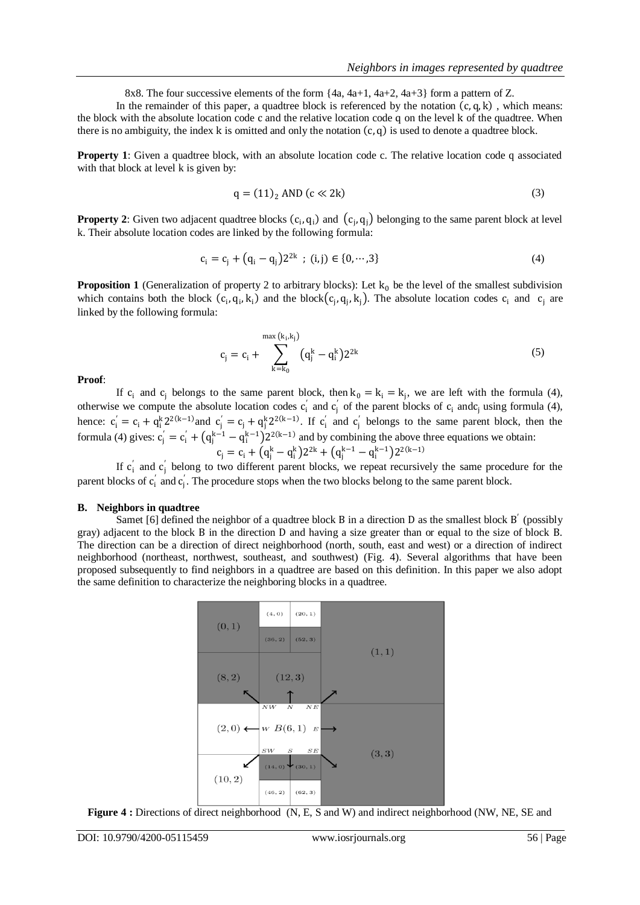8x8. The four successive elements of the form  $\{4a, 4a+1, 4a+2, 4a+3\}$  form a pattern of Z.

In the remainder of this paper, a quadtree block is referenced by the notation  $(c, q, k)$ , which means: the block with the absolute location code c and the relative location code q on the level k of the quadtree. When there is no ambiguity, the index k is omitted and only the notation  $(c, q)$  is used to denote a quadtree block.

**Property 1**: Given a quadtree block, with an absolute location code c. The relative location code q associated with that block at level k is given by:

$$
q = (11)2 AND (c \ll 2k)
$$
 (3)

**Property 2**: Given two adjacent quadtree blocks  $(c_i, q_i)$  and  $(c_j, q_j)$  belonging to the same parent block at level k. Their absolute location codes are linked by the following formula:

$$
c_i = c_j + (q_i - q_j)2^{2k} \, ; \, (i, j) \in \{0, \cdots, 3\} \tag{4}
$$

**Proposition 1** (Generalization of property 2 to arbitrary blocks): Let  $k_0$  be the level of the smallest subdivision which contains both the block  $(c_i, q_i, k_i)$  and the block  $(c_j, q_j, k_j)$ . The absolute location codes  $c_i$  and  $c_j$  are linked by the following formula:

$$
c_{j} = c_{i} + \sum_{k=k_{0}}^{\max(k_{i},k_{j})} (q_{j}^{k} - q_{i}^{k}) 2^{2k}
$$
 (5)

#### **Proof**:

If  $c_i$  and  $c_j$  belongs to the same parent block, then  $k_0 = k_i = k_j$ , we are left with the formula (4), otherwise we compute the absolute location codes  $c'_i$  and  $c'_j$  of the parent blocks of  $c_i$  and  $c_j$  using formula (4), hence:  $c_i' = c_i + q_i^k 2^{2(k-1)}$  and  $c_j' = c_j + q_i^k 2^{2(k-1)}$ . If  $c_i'$  and  $c_j'$  belongs to the same parent block, then the formula (4) gives:  $c_j' = c_i' + (q_j^{k-1} - q_i^{k-1})2^{2(k-1)}$  and by combining the above three equations we obtain:

$$
c_j = c_i + (q_j^k - q_i^k)2^{2k} + (q_j^{k-1} - q_i^{k-1})2^{2(k-1)}
$$

If  $c'_i$  and  $c'_j$  belong to two different parent blocks, we repeat recursively the same procedure for the parent blocks of  $c_i'$  and  $c_j'$ . The procedure stops when the two blocks belong to the same parent block.

#### **B. Neighbors in quadtree**

Samet [6] defined the neighbor of a quadtree block B in a direction D as the smallest block B' (possibly gray) adjacent to the block B in the direction D and having a size greater than or equal to the size of block B. The direction can be a direction of direct neighborhood (north, south, east and west) or a direction of indirect neighborhood (northeast, northwest, southeast, and southwest) (Fig. 4). Several algorithms that have been proposed subsequently to find neighbors in a quadtree are based on this definition. In this paper we also adopt the same definition to characterize the neighboring blocks in a quadtree.



**Figure 4 :** Directions of direct neighborhood (N, E, S and W) and indirect neighborhood (NW, NE, SE and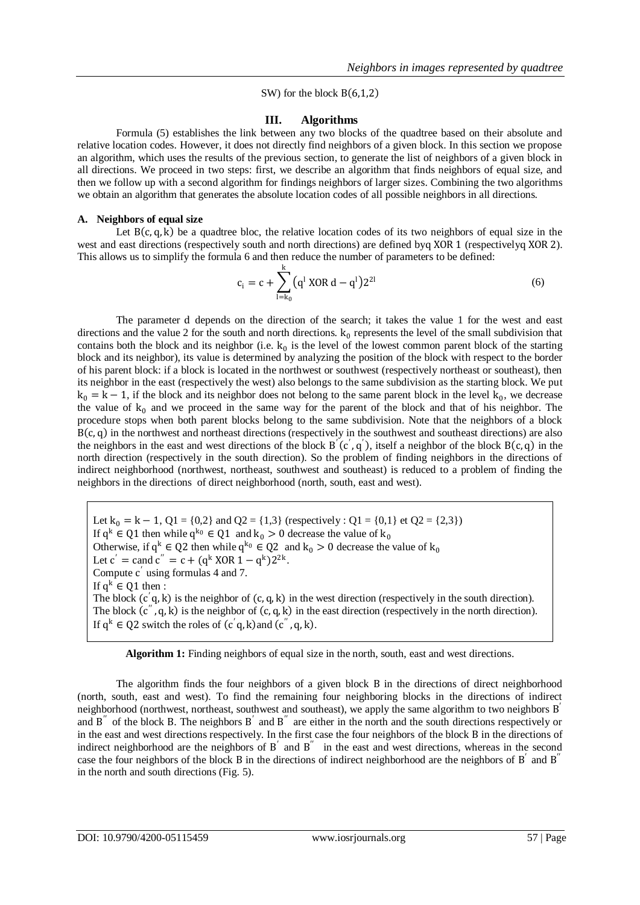### SW) for the block  $B(6,1,2)$

## **III. Algorithms**

Formula (5) establishes the link between any two blocks of the quadtree based on their absolute and relative location codes. However, it does not directly find neighbors of a given block. In this section we propose an algorithm, which uses the results of the previous section, to generate the list of neighbors of a given block in all directions. We proceed in two steps: first, we describe an algorithm that finds neighbors of equal size, and then we follow up with a second algorithm for findings neighbors of larger sizes. Combining the two algorithms we obtain an algorithm that generates the absolute location codes of all possible neighbors in all directions.

## **A. Neighbors of equal size**

Let  $B(c, a, k)$  be a quadtree bloc, the relative location codes of its two neighbors of equal size in the west and east directions (respectively south and north directions) are defined byq XOR 1 (respectivelyq XOR 2). This allows us to simplify the formula 6 and then reduce the number of parameters to be defined:

$$
c_i = c + \sum_{l=k_0}^{k} (q^l \text{ XOR } d - q^l) 2^{2l}
$$
 (6)

The parameter d depends on the direction of the search; it takes the value 1 for the west and east directions and the value 2 for the south and north directions.  $k_0$  represents the level of the small subdivision that contains both the block and its neighbor (i.e.  $k_0$  is the level of the lowest common parent block of the starting block and its neighbor), its value is determined by analyzing the position of the block with respect to the border of his parent block: if a block is located in the northwest or southwest (respectively northeast or southeast), then its neighbor in the east (respectively the west) also belongs to the same subdivision as the starting block. We put  $k_0 = k - 1$ , if the block and its neighbor does not belong to the same parent block in the level  $k_0$ , we decrease the value of  $k_0$  and we proceed in the same way for the parent of the block and that of his neighbor. The procedure stops when both parent blocks belong to the same subdivision. Note that the neighbors of a block  $B(c, q)$  in the northwest and northeast directions (respectively in the southwest and southeast directions) are also the neighbors in the east and west directions of the block  $B'(c', q')$ , itself a neighbor of the block  $B(c, q)$  in the north direction (respectively in the south direction). So the problem of finding neighbors in the directions of indirect neighborhood (northwest, northeast, southwest and southeast) is reduced to a problem of finding the neighbors in the directions of direct neighborhood (north, south, east and west).

Let  $k_0 = k - 1$ ,  $Q1 = \{0,2\}$  and  $Q2 = \{1,3\}$  (respectively :  $Q1 = \{0,1\}$  et  $Q2 = \{2,3\}$ ) If  $q^k \in Q1$  then while  $q^{k_0} \in Q1$  and  $k_0 > 0$  decrease the value of  $k_0$ Otherwise, if  $q^k \in Q^2$  then while  $q^{k_0} \in Q^2$  and  $k_0 > 0$  decrease the value of  $k_0$ Let  $c' = \text{cand } c'' = c + (q^k \text{ XOR } 1 - q^k)2^{2k}$ . Compute c ′ using formulas 4 and 7. If  $q^k \in Q_1$  then : The block  $(c'q, k)$  is the neighbor of  $(c, q, k)$  in the west direction (respectively in the south direction). The block  $(c^{\prime\prime}, q, k)$  is the neighbor of  $(c, q, k)$  in the east direction (respectively in the north direction). If  $q^k \in Q^2$  switch the roles of  $(c'q, k)$  and  $(c'', q, k)$ .

**Algorithm 1:** Finding neighbors of equal size in the north, south, east and west directions.

The algorithm finds the four neighbors of a given block B in the directions of direct neighborhood (north, south, east and west). To find the remaining four neighboring blocks in the directions of indirect neighborhood (northwest, northeast, southwest and southeast), we apply the same algorithm to two neighbors B<sup>'</sup> and  $B''$  of the block B. The neighbors  $B'$  and  $B''$  are either in the north and the south directions respectively or in the east and west directions respectively. In the first case the four neighbors of the block B in the directions of indirect neighborhood are the neighbors of  $B'$  and  $B''$  in the east and west directions, whereas in the second case the four neighbors of the block  $B$  in the directions of indirect neighborhood are the neighbors of  $B'$  and  $B''$ in the north and south directions (Fig. 5).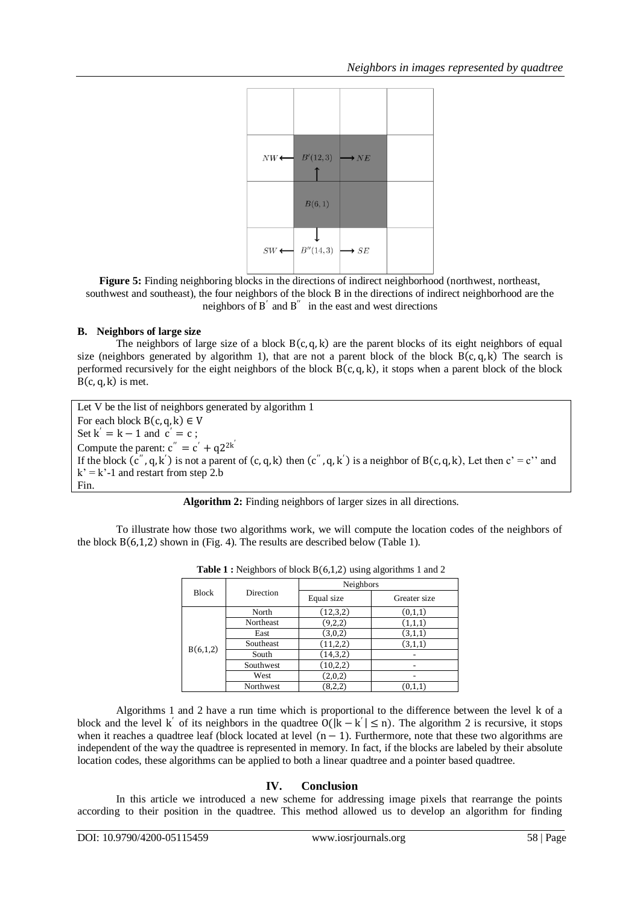

**Figure 5:** Finding neighboring blocks in the directions of indirect neighborhood (northwest, northeast, southwest and southeast), the four neighbors of the block B in the directions of indirect neighborhood are the neighbors of  $B'$  and  $B''$  in the east and west directions

# **B. Neighbors of large size**

The neighbors of large size of a block  $B(c, q, k)$  are the parent blocks of its eight neighbors of equal size (neighbors generated by algorithm 1), that are not a parent block of the block  $B(c, q, k)$  The search is performed recursively for the eight neighbors of the block  $B(c,q,k)$ , it stops when a parent block of the block  $B(c, q, k)$  is met.

Let V be the list of neighbors generated by algorithm 1 For each block  $B(c, q, k) \in V$ Set  $k' = k - 1$  and  $c' = c$ ; Compute the parent:  $c'' = c' + q2^{2k'}$ If the block  $(c'', q, k')$  is not a parent of  $(c, q, k)$  then  $(c'', q, k')$  is a neighbor of  $B(c, q, k)$ , Let then  $c' = c'$  and  $k' = k'-1$  and restart from step 2.b Fin.

|  |  |  | Algorithm 2: Finding neighbors of larger sizes in all directions. |
|--|--|--|-------------------------------------------------------------------|
|  |  |  |                                                                   |

To illustrate how those two algorithms work, we will compute the location codes of the neighbors of the block  $B(6,1,2)$  shown in (Fig. 4). The results are described below (Table 1).

|              |           | Neighbors  |              |  |  |
|--------------|-----------|------------|--------------|--|--|
| <b>Block</b> | Direction | Equal size | Greater size |  |  |
|              | North     | (12, 3, 2) | (0,1,1)      |  |  |
|              | Northeast | (9,2,2)    | (1,1,1)      |  |  |
| B(6,1,2)     | East      | (3,0,2)    | (3,1,1)      |  |  |
|              | Southeast | (11, 2, 2) | (3,1,1)      |  |  |
|              | South     | (14, 3, 2) |              |  |  |
|              | Southwest | (10,2,2)   |              |  |  |
|              | West      | (2,0,2)    |              |  |  |
|              | Northwest | (8,2,2)    | (0,1,1)      |  |  |

**Table 1 :** Neighbors of block  $B(6,1,2)$  using algorithms 1 and 2

Algorithms 1 and 2 have a run time which is proportional to the difference between the level k of a block and the level k<sup>'</sup> of its neighbors in the quadtree  $O(|k - k'| \le n)$ . The algorithm 2 is recursive, it stops when it reaches a quadtree leaf (block located at level  $(n - 1)$ ). Furthermore, note that these two algorithms are independent of the way the quadtree is represented in memory. In fact, if the blocks are labeled by their absolute location codes, these algorithms can be applied to both a linear quadtree and a pointer based quadtree.

# **IV. Conclusion**

In this article we introduced a new scheme for addressing image pixels that rearrange the points according to their position in the quadtree. This method allowed us to develop an algorithm for finding